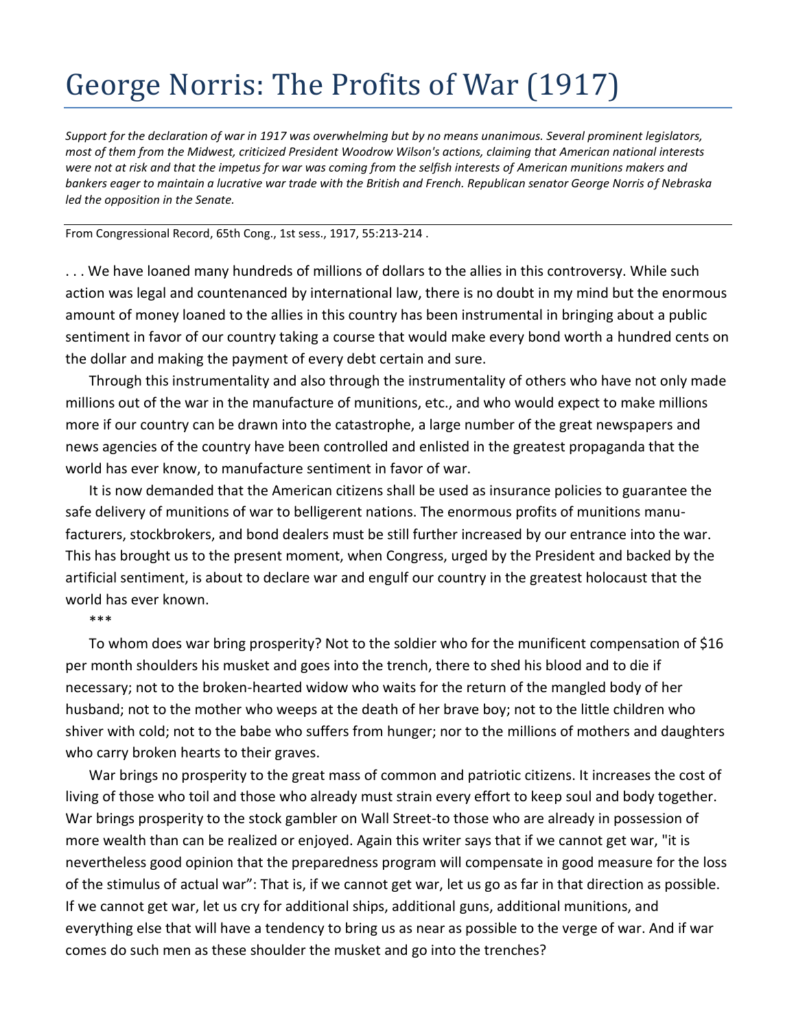## George Norris: The Profits of War (1917)

*Support for the declaration of war in 1917 was overwhelming but by no means unanimous. Several prominent legislators, most of them from the Midwest, criticized President Woodrow Wilson's actions, claiming that American national interests were not at risk and that the impetus for war was coming from the selfish interests of American munitions makers and bankers eager to maintain a lucrative war trade with the British and French. Republican senator George Norris of Nebraska led the opposition in the Senate.*

From Congressional Record, 65th Cong., 1st sess., 1917, 55:213-214 .

. . . We have loaned many hundreds of millions of dollars to the allies in this controversy. While such action was legal and countenanced by international law, there is no doubt in my mind but the enormous amount of money loaned to the allies in this country has been instrumental in bringing about a public sentiment in favor of our country taking a course that would make every bond worth a hundred cents on the dollar and making the payment of every debt certain and sure.

Through this instrumentality and also through the instrumentality of others who have not only made millions out of the war in the manufacture of munitions, etc., and who would expect to make millions more if our country can be drawn into the catastrophe, a large number of the great newspapers and news agencies of the country have been controlled and enlisted in the greatest propaganda that the world has ever know, to manufacture sentiment in favor of war.

It is now demanded that the American citizens shall be used as insurance policies to guarantee the safe delivery of munitions of war to belligerent nations. The enormous profits of munitions manufacturers, stockbrokers, and bond dealers must be still further increased by our entrance into the war. This has brought us to the present moment, when Congress, urged by the President and backed by the artificial sentiment, is about to declare war and engulf our country in the greatest holocaust that the world has ever known.

\*\*\*

To whom does war bring prosperity? Not to the soldier who for the munificent compensation of \$16 per month shoulders his musket and goes into the trench, there to shed his blood and to die if necessary; not to the broken-hearted widow who waits for the return of the mangled body of her husband; not to the mother who weeps at the death of her brave boy; not to the little children who shiver with cold; not to the babe who suffers from hunger; nor to the millions of mothers and daughters who carry broken hearts to their graves.

War brings no prosperity to the great mass of common and patriotic citizens. It increases the cost of living of those who toil and those who already must strain every effort to keep soul and body together. War brings prosperity to the stock gambler on Wall Street-to those who are already in possession of more wealth than can be realized or enjoyed. Again this writer says that if we cannot get war, "it is nevertheless good opinion that the preparedness program will compensate in good measure for the loss of the stimulus of actual war": That is, if we cannot get war, let us go as far in that direction as possible. If we cannot get war, let us cry for additional ships, additional guns, additional munitions, and everything else that will have a tendency to bring us as near as possible to the verge of war. And if war comes do such men as these shoulder the musket and go into the trenches?